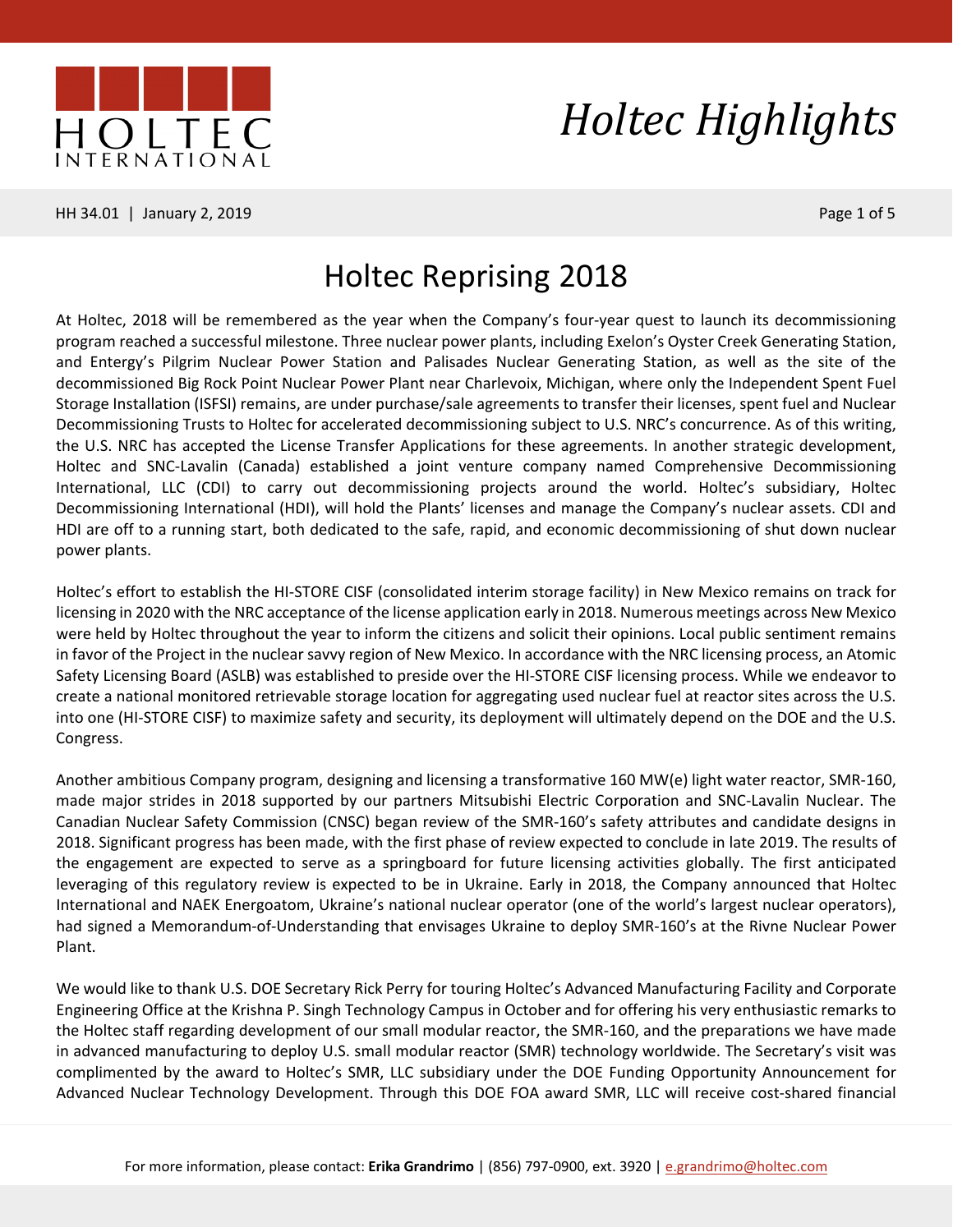

HH 34.01 | January 2, 2019 **Page 1 of 5** Page 1 of 5

# *Holtec Highlights*

#### Holtec Reprising 2018

At Holtec, 2018 will be remembered as the year when the Company's four-year quest to launch its decommissioning program reached a successful milestone. Three nuclear power plants, including Exelon's Oyster Creek Generating Station, and Entergy's Pilgrim Nuclear Power Station and Palisades Nuclear Generating Station, as well as the site of the decommissioned Big Rock Point Nuclear Power Plant near Charlevoix, Michigan, where only the Independent Spent Fuel Storage Installation (ISFSI) remains, are under purchase/sale agreements to transfer their licenses, spent fuel and Nuclear Decommissioning Trusts to Holtec for accelerated decommissioning subject to U.S. NRC's concurrence. As of this writing, the U.S. NRC has accepted the License Transfer Applications for these agreements. In another strategic development, Holtec and SNC-Lavalin (Canada) established a joint venture company named Comprehensive Decommissioning International, LLC (CDI) to carry out decommissioning projects around the world. Holtec's subsidiary, Holtec Decommissioning International (HDI), will hold the Plants' licenses and manage the Company's nuclear assets. CDI and HDI are off to a running start, both dedicated to the safe, rapid, and economic decommissioning of shut down nuclear power plants.

Holtec's effort to establish the HI-STORE CISF (consolidated interim storage facility) in New Mexico remains on track for licensing in 2020 with the NRC acceptance of the license application early in 2018. Numerous meetings across New Mexico were held by Holtec throughout the year to inform the citizens and solicit their opinions. Local public sentiment remains in favor of the Project in the nuclear savvy region of New Mexico. In accordance with the NRC licensing process, an Atomic Safety Licensing Board (ASLB) was established to preside over the HI-STORE CISF licensing process. While we endeavor to create a national monitored retrievable storage location for aggregating used nuclear fuel at reactor sites across the U.S. into one (HI-STORE CISF) to maximize safety and security, its deployment will ultimately depend on the DOE and the U.S. Congress.

Another ambitious Company program, designing and licensing a transformative 160 MW(e) light water reactor, SMR-160, made major strides in 2018 supported by our partners Mitsubishi Electric Corporation and SNC-Lavalin Nuclear. The Canadian Nuclear Safety Commission (CNSC) began review of the SMR-160's safety attributes and candidate designs in 2018. Significant progress has been made, with the first phase of review expected to conclude in late 2019. The results of the engagement are expected to serve as a springboard for future licensing activities globally. The first anticipated leveraging of this regulatory review is expected to be in Ukraine. Early in 2018, the Company announced that Holtec International and NAEK Energoatom, Ukraine's national nuclear operator (one of the world's largest nuclear operators), had signed a Memorandum-of-Understanding that envisages Ukraine to deploy SMR-160's at the Rivne Nuclear Power Plant.

We would like to thank U.S. DOE Secretary Rick Perry for touring Holtec's Advanced Manufacturing Facility and Corporate Engineering Office at the Krishna P. Singh Technology Campus in October and for offering his very enthusiastic remarks to the Holtec staff regarding development of our small modular reactor, the SMR-160, and the preparations we have made in advanced manufacturing to deploy U.S. small modular reactor (SMR) technology worldwide. The Secretary's visit was complimented by the award to Holtec's SMR, LLC subsidiary under the DOE Funding Opportunity Announcement for Advanced Nuclear Technology Development. Through this DOE FOA award SMR, LLC will receive cost-shared financial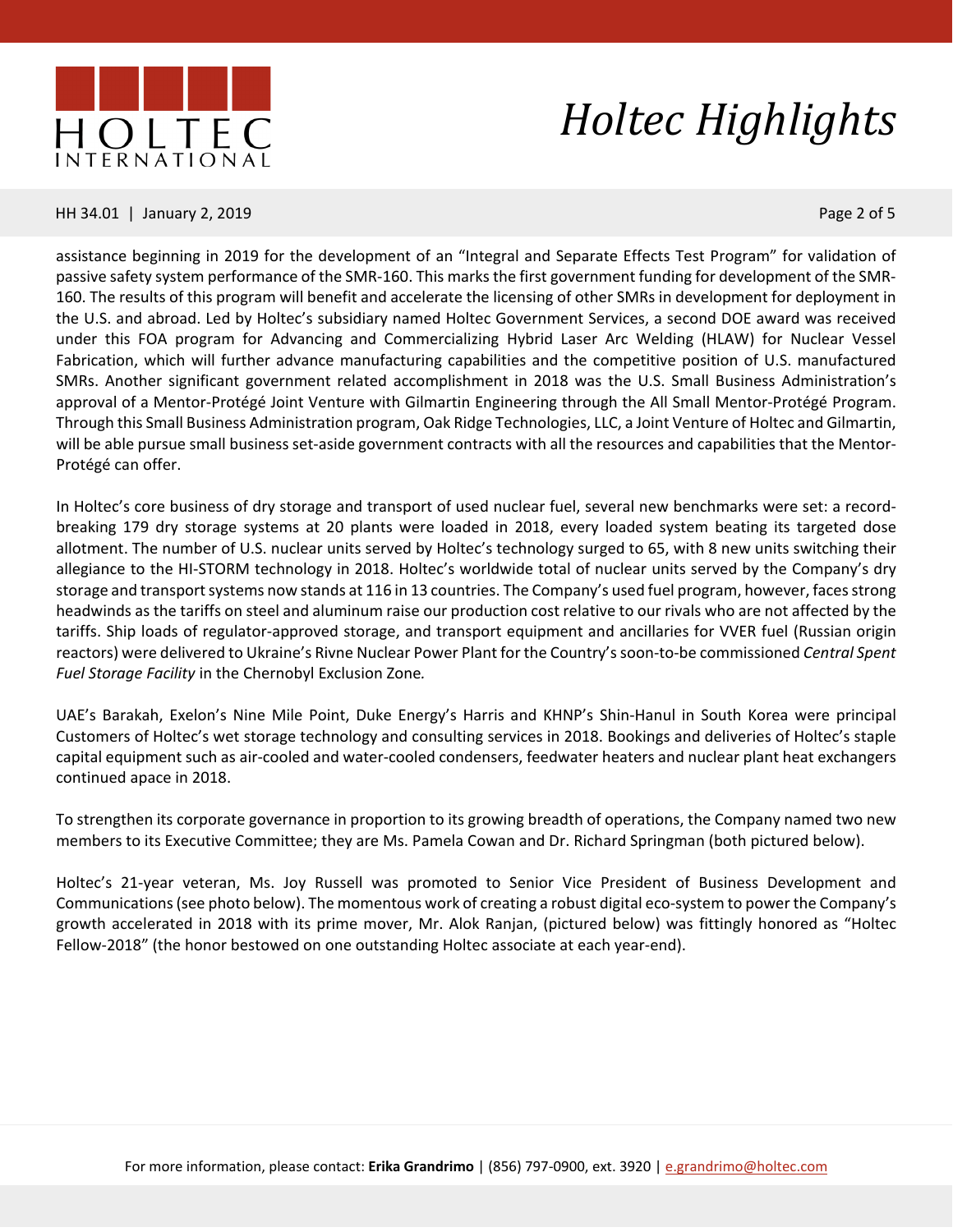

#### HH 34.01 | January 2, 2019 **Page 2 of 5** and 2010 **Page 2 of 5** and 2011 **Page 2 of 5**

assistance beginning in 2019 for the development of an "Integral and Separate Effects Test Program" for validation of passive safety system performance of the SMR-160. This marks the first government funding for development of the SMR-160. The results of this program will benefit and accelerate the licensing of other SMRs in development for deployment in the U.S. and abroad. Led by Holtec's subsidiary named Holtec Government Services, a second DOE award was received under this FOA program for Advancing and Commercializing Hybrid Laser Arc Welding (HLAW) for Nuclear Vessel Fabrication, which will further advance manufacturing capabilities and the competitive position of U.S. manufactured SMRs. Another significant government related accomplishment in 2018 was the U.S. Small Business Administration's approval of a Mentor-Protégé Joint Venture with Gilmartin Engineering through the All Small Mentor-Protégé Program. Through this Small Business Administration program, Oak Ridge Technologies, LLC, a Joint Venture of Holtec and Gilmartin, will be able pursue small business set-aside government contracts with all the resources and capabilities that the Mentor-Protégé can offer.

In Holtec's core business of dry storage and transport of used nuclear fuel, several new benchmarks were set: a recordbreaking 179 dry storage systems at 20 plants were loaded in 2018, every loaded system beating its targeted dose allotment. The number of U.S. nuclear units served by Holtec's technology surged to 65, with 8 new units switching their allegiance to the HI-STORM technology in 2018. Holtec's worldwide total of nuclear units served by the Company's dry storage and transport systems now stands at 116 in 13 countries. The Company's used fuel program, however, faces strong headwinds as the tariffs on steel and aluminum raise our production cost relative to our rivals who are not affected by the tariffs. Ship loads of regulator-approved storage, and transport equipment and ancillaries for VVER fuel (Russian origin reactors) were delivered to Ukraine's Rivne Nuclear Power Plant for the Country'ssoon-to-be commissioned *Central Spent Fuel Storage Facility* in the Chernobyl Exclusion Zone*.*

UAE's Barakah, Exelon's Nine Mile Point, Duke Energy's Harris and KHNP's Shin-Hanul in South Korea were principal Customers of Holtec's wet storage technology and consulting services in 2018. Bookings and deliveries of Holtec's staple capital equipment such as air-cooled and water-cooled condensers, feedwater heaters and nuclear plant heat exchangers continued apace in 2018.

To strengthen its corporate governance in proportion to its growing breadth of operations, the Company named two new members to its Executive Committee; they are Ms. Pamela Cowan and Dr. Richard Springman (both pictured below).

Holtec's 21-year veteran, Ms. Joy Russell was promoted to Senior Vice President of Business Development and Communications(see photo below). The momentous work of creating a robust digital eco-system to power the Company's growth accelerated in 2018 with its prime mover, Mr. Alok Ranjan, (pictured below) was fittingly honored as "Holtec Fellow-2018" (the honor bestowed on one outstanding Holtec associate at each year-end).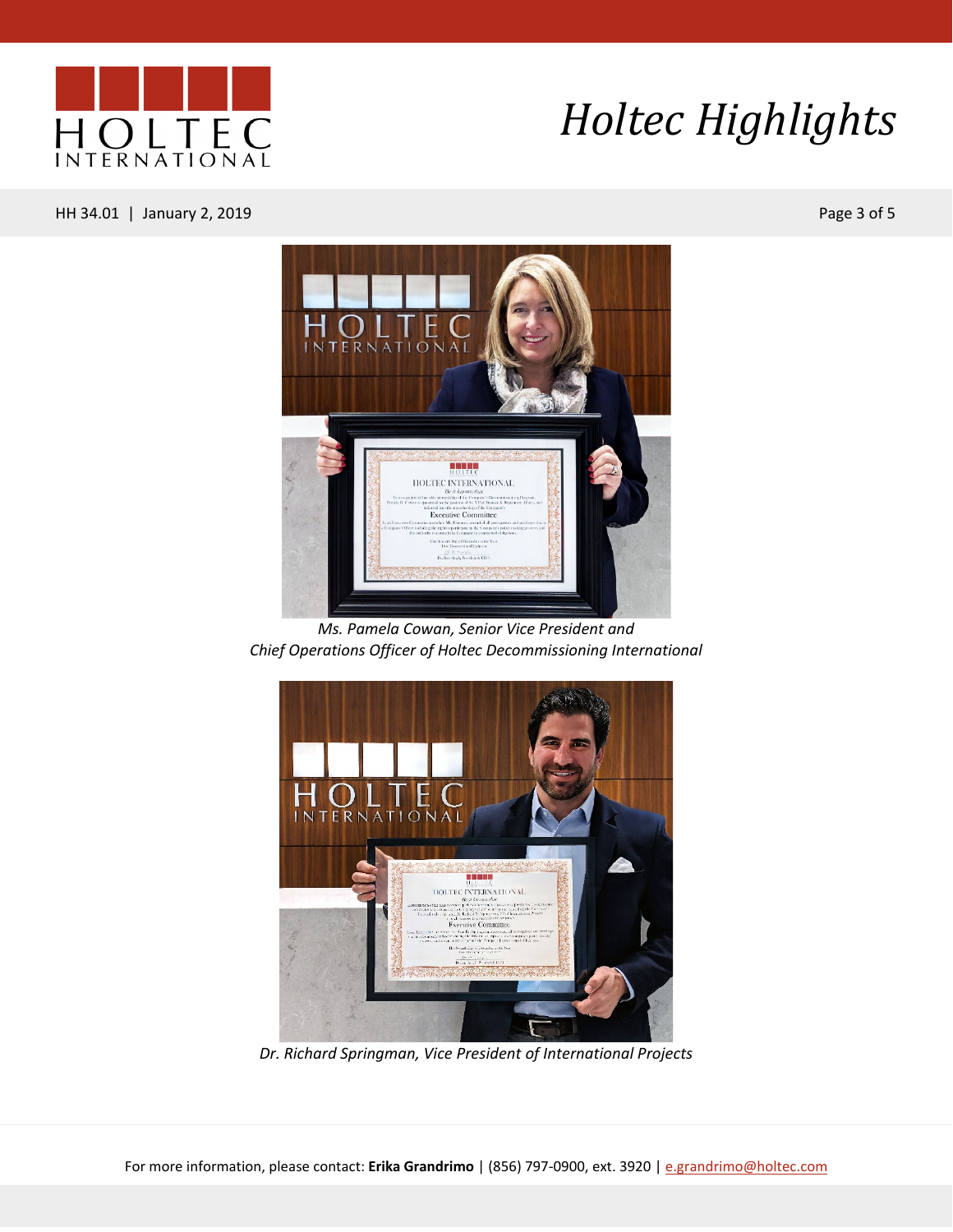

#### HH 34.01 | January 2, 2019 Page 3 of 5



*Ms. Pamela Cowan, Senior Vice President and Chief Operations Officer of Holtec Decommissioning International*



*Dr. Richard Springman, Vice President of International Projects*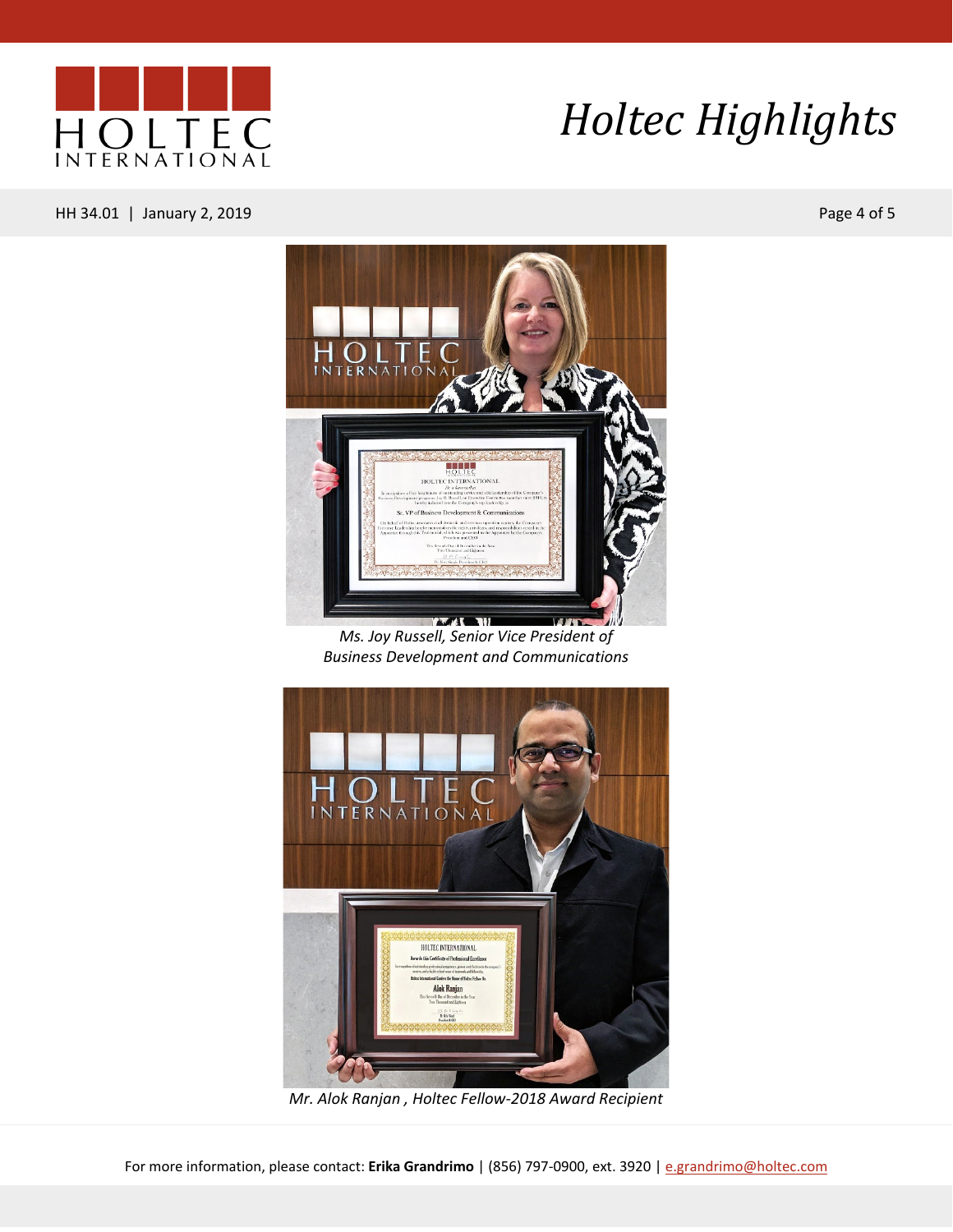

HH 34.01 | January 2, 2019 Page 4 of 5



*Ms. Joy Russell, Senior Vice President of Business Development and Communications*



*Mr. Alok Ranjan , Holtec Fellow-2018 Award Recipient*